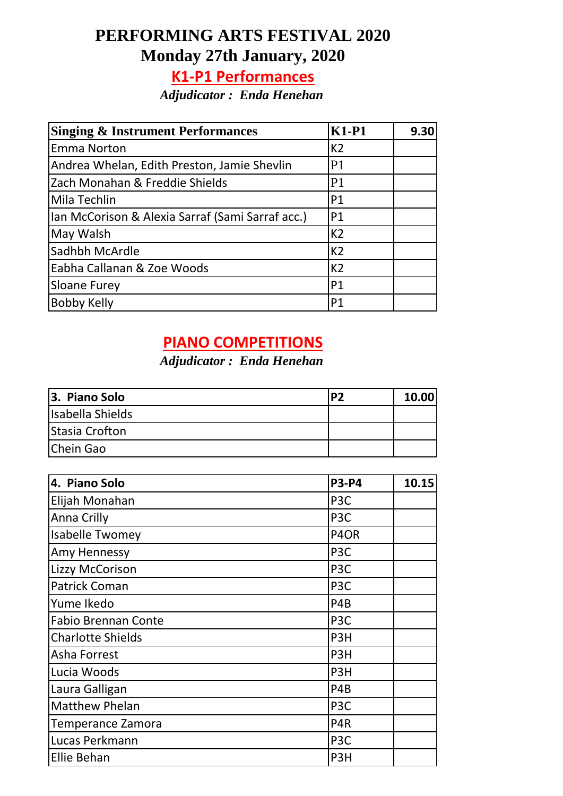# **PERFORMING ARTS FESTIVAL 2020 Monday 27th January, 2020**

## **K1-P1 Performances**

*Adjudicator : Enda Henehan*

| <b>Singing &amp; Instrument Performances</b>     | $K1-P1$        | 9.30 |
|--------------------------------------------------|----------------|------|
| <b>Emma Norton</b>                               | K <sub>2</sub> |      |
| Andrea Whelan, Edith Preston, Jamie Shevlin      | P <sub>1</sub> |      |
| Zach Monahan & Freddie Shields                   | P <sub>1</sub> |      |
| Mila Techlin                                     | P <sub>1</sub> |      |
| Ian McCorison & Alexia Sarraf (Sami Sarraf acc.) | P <sub>1</sub> |      |
| May Walsh                                        | K <sub>2</sub> |      |
| Sadhbh McArdle                                   | K <sub>2</sub> |      |
| Eabha Callanan & Zoe Woods                       | K <sub>2</sub> |      |
| Sloane Furey                                     | <b>P1</b>      |      |
| Bobby Kelly                                      | P1             |      |

#### **PIANO COMPETITIONS**

#### *Adjudicator : Enda Henehan*

| 3. Piano Solo         | I D J | 10.00 |
|-----------------------|-------|-------|
| Isabella Shields      |       |       |
| <b>Stasia Crofton</b> |       |       |
| Chein Gao             |       |       |

| 4. Piano Solo              | <b>P3-P4</b>                  | 10.15 |
|----------------------------|-------------------------------|-------|
| Elijah Monahan             | P <sub>3</sub> C              |       |
| Anna Crilly                | P <sub>3</sub> C              |       |
| <b>Isabelle Twomey</b>     | P <sub>4</sub> O <sub>R</sub> |       |
| Amy Hennessy               | P <sub>3</sub> C              |       |
| Lizzy McCorison            | P <sub>3</sub> C              |       |
| <b>Patrick Coman</b>       | P <sub>3</sub> C              |       |
| Yume Ikedo                 | P <sub>4</sub> B              |       |
| <b>Fabio Brennan Conte</b> | P <sub>3</sub> C              |       |
| <b>Charlotte Shields</b>   | P <sub>3</sub> H              |       |
| Asha Forrest               | P <sub>3</sub> H              |       |
| Lucia Woods                | P <sub>3</sub> H              |       |
| Laura Galligan             | P <sub>4</sub> B              |       |
| <b>Matthew Phelan</b>      | P <sub>3</sub> C              |       |
| Temperance Zamora          | P <sub>4</sub> R              |       |
| Lucas Perkmann             | P <sub>3</sub> C              |       |
| <b>Ellie Behan</b>         | P <sub>3</sub> H              |       |